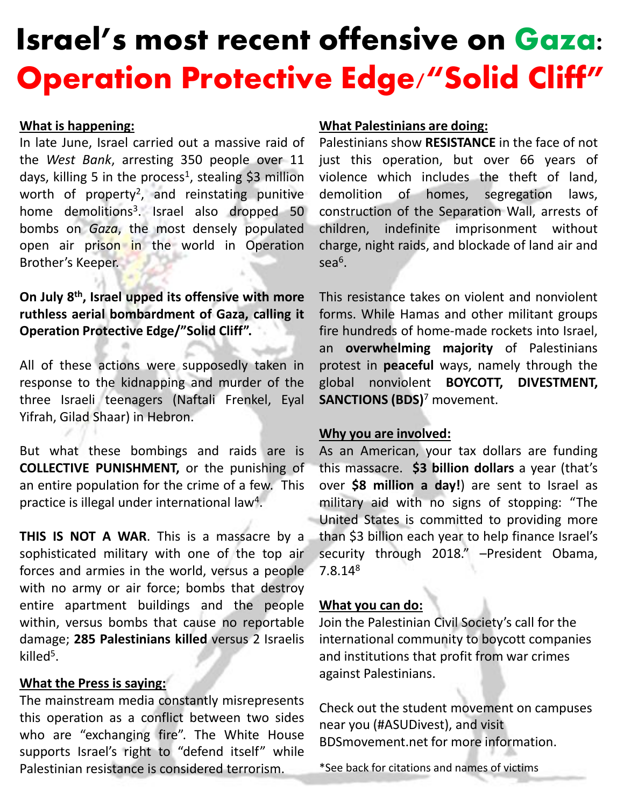# Israel's most recent offensive on Gaza: Operation Protective Edge/"Solid Cliff"

## **What is happening:**

In late June, Israel carried out a massive raid of the *West Bank*, arresting 350 people over 11 days, killing 5 in the process<sup>1</sup>, stealing \$3 million worth of property<sup>2</sup>, and reinstating punitive home demolitions<sup>3</sup>. Israel also dropped 50 bombs on *Gaza*, the most densely populated open air prison in the world in Operation Brother's Keeper.

# **On July 8 th , Israel upped its offensive with more ruthless aerial bombardment of Gaza, calling it Operation Protective Edge/"Solid Cliff".**

All of these actions were supposedly taken in response to the kidnapping and murder of the three Israeli teenagers (Naftali Frenkel, Eyal Yifrah, Gilad Shaar) in Hebron.

But what these bombings and raids are is **COLLECTIVE PUNISHMENT,** or the punishing of an entire population for the crime of a few. This practice is illegal under international law<sup>4</sup>.

**THIS IS NOT A WAR**. This is a massacre by a sophisticated military with one of the top air forces and armies in the world, versus a people with no army or air force; bombs that destroy entire apartment buildings and the people within, versus bombs that cause no reportable damage; **285 Palestinians killed** versus 2 Israelis killed<sup>5</sup>.

# **What the Press is saying:**

The mainstream media constantly misrepresents this operation as a conflict between two sides who are "exchanging fire". The White House supports Israel's right to "defend itself" while Palestinian resistance is considered terrorism.

## **What Palestinians are doing:**

Palestinians show **RESISTANCE** in the face of not just this operation, but over 66 years of violence which includes the theft of land, demolition of homes, segregation laws, construction of the Separation Wall, arrests of children, indefinite imprisonment without charge, night raids, and blockade of land air and sea $^6$ .

This resistance takes on violent and nonviolent forms. While Hamas and other militant groups fire hundreds of home-made rockets into Israel, an **overwhelming majority** of Palestinians protest in **peaceful** ways, namely through the global nonviolent **BOYCOTT, DIVESTMENT, SANCTIONS (BDS)**<sup>7</sup> movement.

## **Why you are involved:**

As an American, your tax dollars are funding this massacre. **\$3 billion dollars** a year (that's over **\$8 million a day!**) are sent to Israel as military aid with no signs of stopping: "The United States is committed to providing more than \$3 billion each year to help finance Israel's security through 2018." -President Obama, 7.8.14<sup>8</sup>

## **What you can do:**

Join the Palestinian Civil Society's call for the international community to boycott companies and institutions that profit from war crimes against Palestinians.

Check out the student movement on campuses near you (#ASUDivest), and visit BDSmovement.net for more information.

\*See back for citations and names of victims